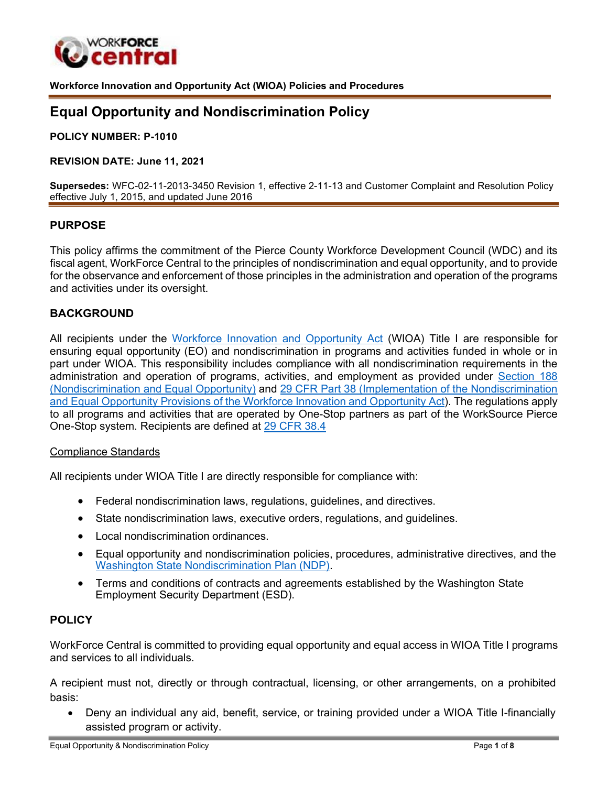

**Workforce Innovation and Opportunity Act (WIOA) Policies and Procedures**

# **Equal Opportunity and Nondiscrimination Policy**

**POLICY NUMBER: P-1010**

#### **REVISION DATE: June 11, 2021**

**Supersedes:** WFC-02-11-2013-3450 Revision 1, effective 2-11-13 and Customer Complaint and Resolution Policy effective July 1, 2015, and updated June 2016

#### **PURPOSE**

This policy affirms the commitment of the Pierce County Workforce Development Council (WDC) and its fiscal agent, WorkForce Central to the principles of nondiscrimination and equal opportunity, and to provide for the observance and enforcement of those principles in the administration and operation of the programs and activities under its oversight.

#### **BACKGROUND**

All recipients under the [Workforce Innovation and Opportunity Act](https://www.dol.gov/agencies/eta/wioa/about) (WIOA) Title I are responsible for ensuring equal opportunity (EO) and nondiscrimination in programs and activities funded in whole or in part under WIOA. This responsibility includes compliance with all nondiscrimination requirements in the administration and operation of programs, activities, and employment as provided under [Section 188](https://www.dol.gov/agencies/oasam/centers-offices/civil-rights-center/statutes/section-188-workforce-innovation-opportunity-act#%3A%7E%3Atext%3D%E2%80%94%20No%20individual%20shall%20be%20excluded%2Ctitle%20IX%20of%20the%20Education) [\(Nondiscrimination and Equal Opportunity\)](https://www.dol.gov/agencies/oasam/centers-offices/civil-rights-center/statutes/section-188-workforce-innovation-opportunity-act#%3A%7E%3Atext%3D%E2%80%94%20No%20individual%20shall%20be%20excluded%2Ctitle%20IX%20of%20the%20Education) and [29 CFR Part 38 \(Implementation of the Nondiscrimination](https://www.federalregister.gov/documents/2016/12/02/2016-27737/implementation-of-the-nondiscrimination-and-equal-opportunity-provisions-of-the-workforce-innovation) and Equal Opportunity Provisions of the Workforce Innovation and [Opportunity](https://www.federalregister.gov/documents/2016/12/02/2016-27737/implementation-of-the-nondiscrimination-and-equal-opportunity-provisions-of-the-workforce-innovation) Act). The regulations apply to all programs and activities that are operated by One-Stop partners as part of the WorkSource Pierce One-Stop system. Recipients are defined at [29 CFR 38.4](https://www.law.cornell.edu/cfr/text/29/38.4)

#### Compliance Standards

All recipients under WIOA Title I are directly responsible for compliance with:

- Federal nondiscrimination laws, regulations, guidelines, and directives.
- State nondiscrimination laws, executive orders, regulations, and guidelines.
- Local nondiscrimination ordinances.
- Equal opportunity and nondiscrimination policies, procedures, administrative directives, and the Washington State [Nondiscrimination](https://esdorchardstorage.blob.core.windows.net/esdwa/Default/ESDWAGOV/newsroom/equal-opportunity/ndp/2020-washington-state-nondiscrimination-plan.pdf) Plan (NDP).
- Terms and conditions of contracts and agreements established by the Washington State Employment Security Department (ESD).

# **POLICY**

WorkForce Central is committed to providing equal opportunity and equal access in WIOA Title I programs and services to all individuals.

A recipient must not, directly or through contractual, licensing, or other arrangements, on a prohibited basis:

• Deny an individual any aid, benefit, service, or training provided under a WIOA Title I-financially assisted program or activity.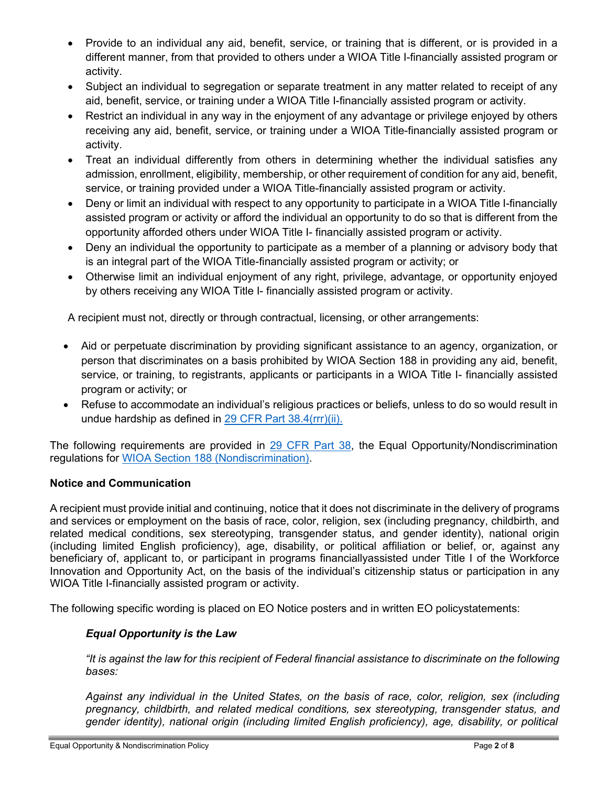- Provide to an individual any aid, benefit, service, or training that is different, or is provided in a different manner, from that provided to others under a WIOA Title I-financially assisted program or activity.
- Subject an individual to segregation or separate treatment in any matter related to receipt of any aid, benefit, service, or training under a WIOA Title I-financially assisted program or activity.
- Restrict an individual in any way in the enjoyment of any advantage or privilege enjoyed by others receiving any aid, benefit, service, or training under a WIOA Title-financially assisted program or activity.
- Treat an individual differently from others in determining whether the individual satisfies any admission, enrollment, eligibility, membership, or other requirement of condition for any aid, benefit, service, or training provided under a WIOA Title-financially assisted program or activity.
- Deny or limit an individual with respect to any opportunity to participate in a WIOA Title I-financially assisted program or activity or afford the individual an opportunity to do so that is different from the opportunity afforded others under WIOA Title I- financially assisted program or activity.
- Deny an individual the opportunity to participate as a member of a planning or advisory body that is an integral part of the WIOA Title-financially assisted program or activity; or
- Otherwise limit an individual enjoyment of any right, privilege, advantage, or opportunity enjoyed by others receiving any WIOA Title I- financially assisted program or activity.

A recipient must not, directly or through contractual, licensing, or other arrangements:

- Aid or perpetuate discrimination by providing significant assistance to an agency, organization, or person that discriminates on a basis prohibited by WIOA Section 188 in providing any aid, benefit, service, or training, to registrants, applicants or participants in a WIOA Title I- financially assisted program or activity; or
- Refuse to accommodate an individual's religious practices or beliefs, unless to do so would result in undue hardship as defined in 29 CFR [Part 38.4\(rrr\)\(ii\).](https://www.law.cornell.edu/cfr/text/29/38.4)

The following requirements are provided in 29 [CFR](https://www.govinfo.gov/content/pkg/CFR-2017-title29-vol1/xml/CFR-2017-title29-vol1-part38.xml) Part 38, the Equal Opportunity/Nondiscrimination regulations for WIOA [Section 188 \(Nondiscrimination\).](https://www.dol.gov/agencies/oasam/centers-offices/civil-rights-center/statutes/section-188-workforce-innovation-opportunity-act)

# **Notice and Communication**

A recipient must provide initial and continuing, notice that it does not discriminate in the delivery of programs and services or employment on the basis of race, color, religion, sex (including pregnancy, childbirth, and related medical conditions, sex stereotyping, transgender status, and gender identity), national origin (including limited English proficiency), age, disability, or political affiliation or belief, or, against any beneficiary of, applicant to, or participant in programs financiallyassisted under Title I of the Workforce Innovation and Opportunity Act, on the basis of the individual's citizenship status or participation in any WIOA Title I-financially assisted program or activity.

The following specific wording is placed on EO Notice posters and in written EO policystatements:

# *Equal Opportunity is the Law*

fit is against the law for this recipient of Federal financial assistance to discriminate on the following" *bases:*

*Against any individual in the United States, on the basis of race, color, religion, sex (including pregnancy, childbirth, and related medical conditions, sex stereotyping, transgender status, and gender identity), national origin (including limited English proficiency), age, disability, or political*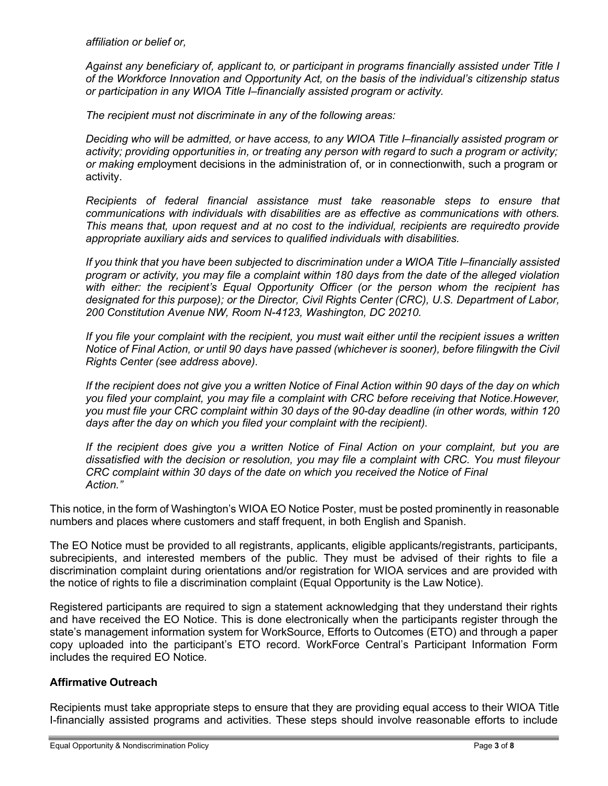*affiliation or belief or,*

*Against any beneficiary of, applicant to, or participant in programs financially assisted under Title I of the Workforce Innovation and Opportunity Act, on the basis of the individual's citizenship status or participation in any WIOA Title I–financially assisted program or activity.*

*The recipient must not discriminate in any of the following areas:*

*Deciding who will be admitted, or have access, to any WIOA Title I–financially assisted program or activity; providing opportunities in, or treating any person with regard to such a program or activity; or making emp*loyment decisions in the administration of, or in connectionwith, such a program or activity.

*Recipients of federal financial assistance must take reasonable steps to ensure that communications with individuals with disabilities are as effective as communications with others. This means that, upon request and at no cost to the individual, recipients are requiredto provide appropriate auxiliary aids and services to qualified individuals with disabilities.*

*If you think that you have been subjected to discrimination under a WIOA Title I–financially assisted program or activity, you may file a complaint within 180 days from the date of the alleged violation with either: the recipient's Equal Opportunity Officer (or the person whom the recipient has designated for this purpose); or the Director, Civil Rights Center (CRC), U.S. Department of Labor, 200 Constitution Avenue NW, Room N-4123, Washington, DC 20210.*

*If you file your complaint with the recipient, you must wait either until the recipient issues a written Notice of Final Action, or until 90 days have passed (whichever is sooner), before filingwith the Civil Rights Center (see address above).*

If the recipient does not give you a written Notice of Final Action within 90 days of the day on which *you filed your complaint, you may file a complaint with CRC before receiving that Notice.However, you must file your CRC complaint within 30 days of the 90-day deadline (in other words, within 120 days after the day on which you filed your complaint with the recipient).*

*If the recipient does give you a written Notice of Final Action on your complaint, but you are dissatisfied with the decision or resolution, you may file a complaint with CRC. You must fileyour CRC complaint within 30 days of the date on which you received the Notice of Final Action."*

This notice, in the form of Washington's WIOA EO Notice Poster, must be posted prominently in reasonable numbers and places where customers and staff frequent, in both English and Spanish.

The EO Notice must be provided to all registrants, applicants, eligible applicants/registrants, participants, subrecipients, and interested members of the public. They must be advised of their rights to file a discrimination complaint during orientations and/or registration for WIOA services and are provided with the notice of rights to file a discrimination complaint (Equal Opportunity is the Law Notice).

Registered participants are required to sign a statement acknowledging that they understand their rights and have received the EO Notice. This is done electronically when the participants register through the state's management information system for WorkSource, Efforts to Outcomes (ETO) and through a paper copy uploaded into the participant's ETO record. WorkForce Central's Participant Information Form includes the required EO Notice.

# **Affirmative Outreach**

Recipients must take appropriate steps to ensure that they are providing equal access to their WIOA Title I-financially assisted programs and activities. These steps should involve reasonable efforts to include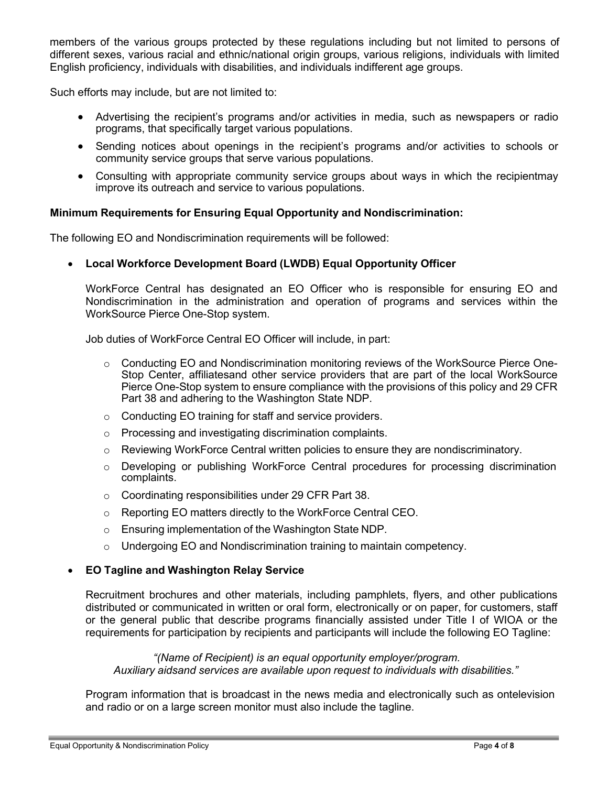members of the various groups protected by these regulations including but not limited to persons of different sexes, various racial and ethnic/national origin groups, various religions, individuals with limited English proficiency, individuals with disabilities, and individuals indifferent age groups.

Such efforts may include, but are not limited to:

- Advertising the recipient's programs and/or activities in media, such as newspapers or radio programs, that specifically target various populations.
- Sending notices about openings in the recipient's programs and/or activities to schools or community service groups that serve various populations.
- Consulting with appropriate community service groups about ways in which the recipientmay improve its outreach and service to various populations.

#### **Minimum Requirements for Ensuring Equal Opportunity and Nondiscrimination:**

The following EO and Nondiscrimination requirements will be followed:

#### • **Local Workforce Development Board (LWDB) Equal Opportunity Officer**

WorkForce Central has designated an EO Officer who is responsible for ensuring EO and Nondiscrimination in the administration and operation of programs and services within the WorkSource Pierce One-Stop system.

Job duties of WorkForce Central EO Officer will include, in part:

- $\circ$  Conducting EO and Nondiscrimination monitoring reviews of the WorkSource Pierce One-Stop Center, affiliatesand other service providers that are part of the local WorkSource Pierce One-Stop system to ensure compliance with the provisions of this policy and 29 CFR Part 38 and adhering to the Washington State NDP.
- o Conducting EO training for staff and service providers.
- o Processing and investigating discrimination complaints.
- $\circ$  Reviewing WorkForce Central written policies to ensure they are nondiscriminatory.
- o Developing or publishing WorkForce Central procedures for processing discrimination complaints.
- o Coordinating responsibilities under 29 CFR Part 38.
- o Reporting EO matters directly to the WorkForce Central CEO.
- o Ensuring implementation of the Washington State NDP.
- o Undergoing EO and Nondiscrimination training to maintain competency.

#### • **EO Tagline and Washington Relay Service**

Recruitment brochures and other materials, including pamphlets, flyers, and other publications distributed or communicated in written or oral form, electronically or on paper, for customers, staff or the general public that describe programs financially assisted under Title I of WIOA or the requirements for participation by recipients and participants will include the following EO Tagline:

*"(Name of Recipient) is an equal opportunity employer/program. Auxiliary aidsand services are available upon request to individuals with disabilities."*

Program information that is broadcast in the news media and electronically such as ontelevision and radio or on a large screen monitor must also include the tagline.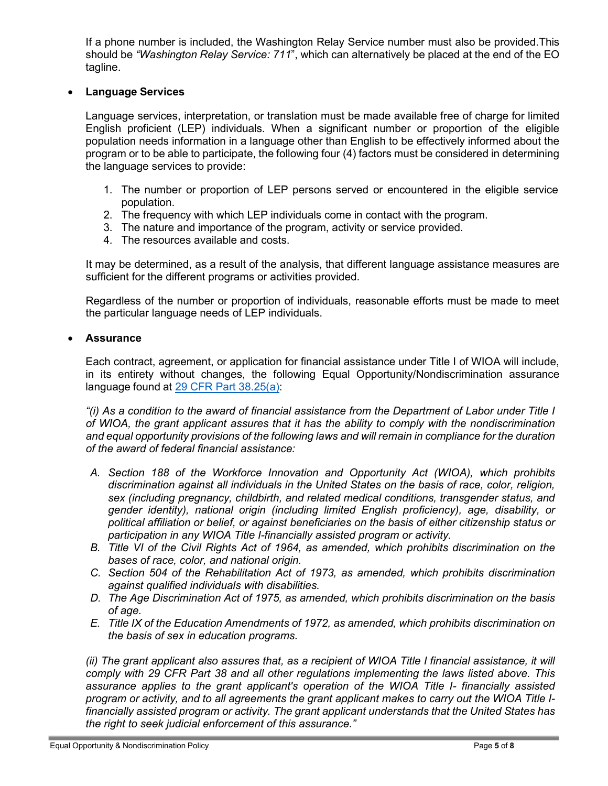If a phone number is included, the Washington Relay Service number must also be provided.This should be *"Washington Relay Service: 711*", which can alternatively be placed at the end of the EO tagline.

# • **Language Services**

Language services, interpretation, or translation must be made available free of charge for limited English proficient (LEP) individuals. When a significant number or proportion of the eligible population needs information in a language other than English to be effectively informed about the program or to be able to participate, the following four (4) factors must be considered in determining the language services to provide:

- 1. The number or proportion of LEP persons served or encountered in the eligible service population.
- 2. The frequency with which LEP individuals come in contact with the program.
- 3. The nature and importance of the program, activity or service provided.
- 4. The resources available and costs.

It may be determined, as a result of the analysis, that different language assistance measures are sufficient for the different programs or activities provided.

Regardless of the number or proportion of individuals, reasonable efforts must be made to meet the particular language needs of LEP individuals.

# • **Assurance**

Each contract, agreement, or application for financial assistance under Title I of WIOA will include, in its entirety without changes, the following Equal Opportunity/Nondiscrimination assurance language found at 29 CFR Part [38.25\(a\):](https://www.law.cornell.edu/cfr/text/29/38.25)

*"(i) As a condition to the award of financial assistance from the Department of Labor under Title I of WIOA, the grant applicant assures that it has the ability to comply with the nondiscrimination and equal opportunity provisions of the following laws and will remain in compliance for the duration of the award of federal financial assistance:*

- *A. Section 188 of the Workforce Innovation and Opportunity Act (WIOA), which prohibits discrimination against all individuals in the United States on the basis of race, color, religion, sex (including pregnancy, childbirth, and related medical conditions, transgender status, and gender identity), national origin (including limited English proficiency), age, disability, or political affiliation or belief, or against beneficiaries on the basis of either citizenship status or participation in any WIOA Title I-financially assisted program or activity.*
- *B. Title VI of the Civil Rights Act of 1964, as amended, which prohibits discrimination on the bases of race, color, and national origin.*
- *C. Section 504 of the Rehabilitation Act of 1973, as amended, which prohibits discrimination against qualified individuals with disabilities.*
- *D. The Age Discrimination Act of 1975, as amended, which prohibits discrimination on the basis of age.*
- *E. Title IX of the Education Amendments of 1972, as amended, which prohibits discrimination on the basis of sex in education programs.*

*(ii) The grant applicant also assures that, as a recipient of WIOA Title I financial assistance, it will comply with 29 CFR Part 38 and all other regulations implementing the laws listed above. This assurance applies to the grant applicant's operation of the WIOA Title I- financially assisted* program or activity, and to all agreements the grant applicant makes to carry out the WIOA Title I*financially assisted program or activity. The grant applicant understands that the United States has the right to seek judicial enforcement of this assurance."*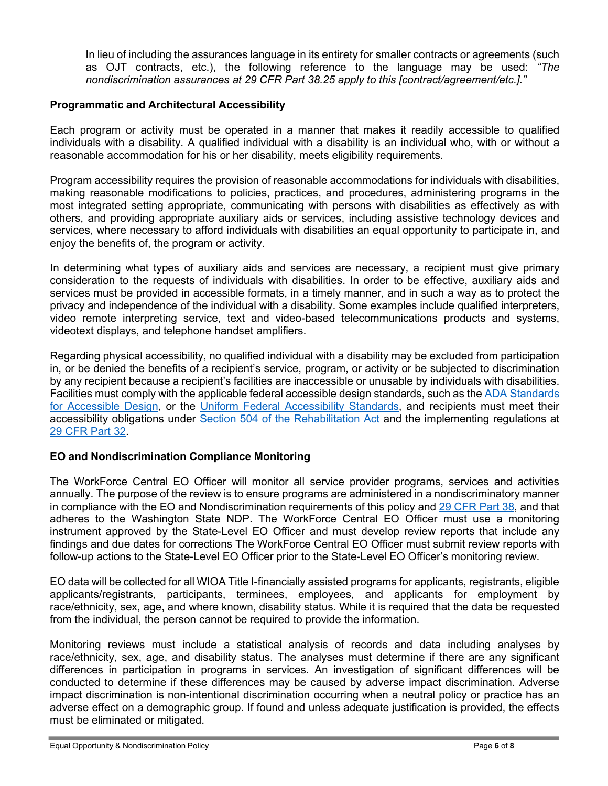In lieu of including the assurances language in its entirety for smaller contracts or agreements (such as OJT contracts, etc.), the following reference to the language may be used: *"The nondiscrimination assurances at 29 CFR Part 38.25 apply to this [contract/agreement/etc.]."*

# **Programmatic and Architectural Accessibility**

Each program or activity must be operated in a manner that makes it readily accessible to qualified individuals with a disability. A qualified individual with a disability is an individual who, with or without a reasonable accommodation for his or her disability, meets eligibility requirements.

Program accessibility requires the provision of reasonable accommodations for individuals with disabilities, making reasonable modifications to policies, practices, and procedures, administering programs in the most integrated setting appropriate, communicating with persons with disabilities as effectively as with others, and providing appropriate auxiliary aids or services, including assistive technology devices and services, where necessary to afford individuals with disabilities an equal opportunity to participate in, and enjoy the benefits of, the program or activity.

In determining what types of auxiliary aids and services are necessary, a recipient must give primary consideration to the requests of individuals with disabilities. In order to be effective, auxiliary aids and services must be provided in accessible formats, in a timely manner, and in such a way as to protect the privacy and independence of the individual with a disability. Some examples include qualified interpreters, video remote interpreting service, text and video-based telecommunications products and systems, videotext displays, and telephone handset amplifiers.

Regarding physical accessibility, no qualified individual with a disability may be excluded from participation in, or be denied the benefits of a recipient's service, program, or activity or be subjected to discrimination by any recipient because a recipient's facilities are inaccessible or unusable by individuals with disabilities. Facilities must comply with the applicable federal accessible design standards, such as the ADA [Standards](https://www.accessibility.works/blog/2021-ada-wcag-website-accessibility-standards-requirements/) [for Accessible Design,](https://www.accessibility.works/blog/2021-ada-wcag-website-accessibility-standards-requirements/) or the [Uniform Federal Accessibility Standards,](https://accessology.com/design-guidelines/uniform-federal-accessibility-standards-ufas/) and recipients must meet their accessibility obligations under [Section 504 of the Rehabilitation Act](https://www.dol.gov/agencies/oasam/centers-offices/civil-rights-center/statutes/section-504-rehabilitation-act-of-1973) and the implementing regulations at 29 [CFR Part](https://www.govinfo.gov/content/pkg/CFR-2016-title29-vol1/pdf/CFR-2016-title29-vol1-part32.pdf) 32.

# **EO and Nondiscrimination Compliance Monitoring**

The WorkForce Central EO Officer will monitor all service provider programs, services and activities annually. The purpose of the review is to ensure programs are administered in a nondiscriminatory manner in compliance with the EO and Nondiscrimination requirements of this policy and 29 [CFR](https://www.federalregister.gov/documents/2016/12/02/2016-27737/implementation-of-the-nondiscrimination-and-equal-opportunity-provisions-of-the-workforce-innovation) Part 38, and that adheres to the Washington State NDP. The WorkForce Central EO Officer must use a monitoring instrument approved by the State-Level EO Officer and must develop review reports that include any findings and due dates for corrections The WorkForce Central EO Officer must submit review reports with follow-up actions to the State-Level EO Officer prior to the State-Level EO Officer's monitoring review.

EO data will be collected for all WIOA Title I-financially assisted programs for applicants, registrants, eligible applicants/registrants, participants, terminees, employees, and applicants for employment by race/ethnicity, sex, age, and where known, disability status. While it is required that the data be requested from the individual, the person cannot be required to provide the information.

Monitoring reviews must include a statistical analysis of records and data including analyses by race/ethnicity, sex, age, and disability status. The analyses must determine if there are any significant differences in participation in programs in services. An investigation of significant differences will be conducted to determine if these differences may be caused by adverse impact discrimination. Adverse impact discrimination is non-intentional discrimination occurring when a neutral policy or practice has an adverse effect on a demographic group. If found and unless adequate justification is provided, the effects must be eliminated or mitigated.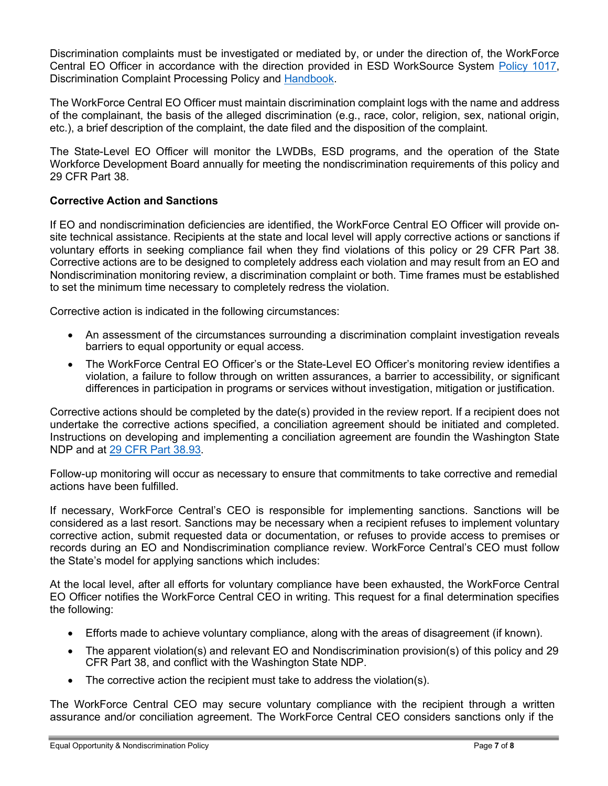Discrimination complaints must be investigated or mediated by, or under the direction of, the WorkForce Central EO Officer in accordance with the direction provided in ESD WorkSource System [Policy 1017,](https://storemultisites.blob.core.windows.net/media/WPC/adm/policy/1017-2.pdf) Discrimination Complaint Processing Policy and [Handbook.](https://storemultisites.blob.core.windows.net/media/WPC/adm/policy/WSS_Policy_1017_Discrimination_Complaint_Processing_Handbook.pdf)

The WorkForce Central EO Officer must maintain discrimination complaint logs with the name and address of the complainant, the basis of the alleged discrimination (e.g., race, color, religion, sex, national origin, etc.), a brief description of the complaint, the date filed and the disposition of the complaint.

The State-Level EO Officer will monitor the LWDBs, ESD programs, and the operation of the State Workforce Development Board annually for meeting the nondiscrimination requirements of this policy and 29 CFR Part 38.

# **Corrective Action and Sanctions**

If EO and nondiscrimination deficiencies are identified, the WorkForce Central EO Officer will provide onsite technical assistance. Recipients at the state and local level will apply corrective actions or sanctions if voluntary efforts in seeking compliance fail when they find violations of this policy or 29 CFR Part 38. Corrective actions are to be designed to completely address each violation and may result from an EO and Nondiscrimination monitoring review, a discrimination complaint or both. Time frames must be established to set the minimum time necessary to completely redress the violation.

Corrective action is indicated in the following circumstances:

- An assessment of the circumstances surrounding a discrimination complaint investigation reveals barriers to equal opportunity or equal access.
- The WorkForce Central EO Officer's or the State-Level EO Officer's monitoring review identifies a violation, a failure to follow through on written assurances, a barrier to accessibility, or significant differences in participation in programs or services without investigation, mitigation or justification.

Corrective actions should be completed by the date(s) provided in the review report. If a recipient does not undertake the corrective actions specified, a conciliation agreement should be initiated and completed. Instructions on developing and implementing a conciliation agreement are foundin the Washington State NDP and at [29 CFR Part](https://www.law.cornell.edu/cfr/text/29/38.93) 38.93.

Follow-up monitoring will occur as necessary to ensure that commitments to take corrective and remedial actions have been fulfilled.

If necessary, WorkForce Central's CEO is responsible for implementing sanctions. Sanctions will be considered as a last resort. Sanctions may be necessary when a recipient refuses to implement voluntary corrective action, submit requested data or documentation, or refuses to provide access to premises or records during an EO and Nondiscrimination compliance review. WorkForce Central's CEO must follow the State's model for applying sanctions which includes:

At the local level, after all efforts for voluntary compliance have been exhausted, the WorkForce Central EO Officer notifies the WorkForce Central CEO in writing. This request for a final determination specifies the following:

- Efforts made to achieve voluntary compliance, along with the areas of disagreement (if known).
- The apparent violation(s) and relevant EO and Nondiscrimination provision(s) of this policy and 29 CFR Part 38, and conflict with the Washington State NDP.
- The corrective action the recipient must take to address the violation(s).

The WorkForce Central CEO may secure voluntary compliance with the recipient through a written assurance and/or conciliation agreement. The WorkForce Central CEO considers sanctions only if the